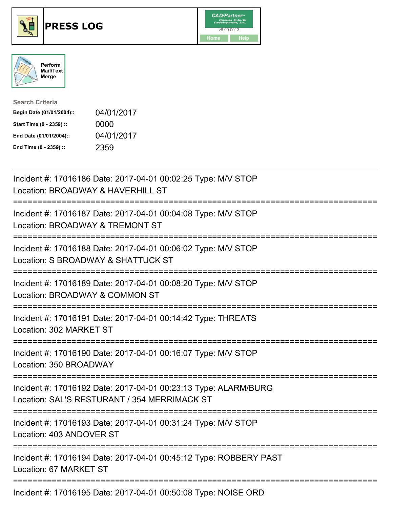





| <b>Search Criteria</b>    |            |
|---------------------------|------------|
| Begin Date (01/01/2004):: | 04/01/2017 |
| Start Time (0 - 2359) ::  | 0000       |
| End Date (01/01/2004)::   | 04/01/2017 |
| End Time (0 - 2359) ::    | 2359       |

| Incident #: 17016186 Date: 2017-04-01 00:02:25 Type: M/V STOP<br>Location: BROADWAY & HAVERHILL ST                                                                                            |
|-----------------------------------------------------------------------------------------------------------------------------------------------------------------------------------------------|
| Incident #: 17016187 Date: 2017-04-01 00:04:08 Type: M/V STOP<br>Location: BROADWAY & TREMONT ST                                                                                              |
| Incident #: 17016188 Date: 2017-04-01 00:06:02 Type: M/V STOP<br>Location: S BROADWAY & SHATTUCK ST                                                                                           |
| Incident #: 17016189 Date: 2017-04-01 00:08:20 Type: M/V STOP<br>Location: BROADWAY & COMMON ST<br>=======================                                                                    |
| Incident #: 17016191 Date: 2017-04-01 00:14:42 Type: THREATS<br>Location: 302 MARKET ST<br>=======================                                                                            |
| Incident #: 17016190 Date: 2017-04-01 00:16:07 Type: M/V STOP<br>Location: 350 BROADWAY<br>========================                                                                           |
| Incident #: 17016192 Date: 2017-04-01 00:23:13 Type: ALARM/BURG<br>Location: SAL'S RESTURANT / 354 MERRIMACK ST<br>===================================<br>. _ _ _ _ _ _ _ _ _ _ _ _ _ _ _ _ _ |
| Incident #: 17016193 Date: 2017-04-01 00:31:24 Type: M/V STOP<br>Location: 403 ANDOVER ST                                                                                                     |
| Incident #: 17016194 Date: 2017-04-01 00:45:12 Type: ROBBERY PAST<br>Location: 67 MARKET ST                                                                                                   |
| Incident #: 17016195 Date: 2017-04-01 00:50:08 Type: NOISE ORD                                                                                                                                |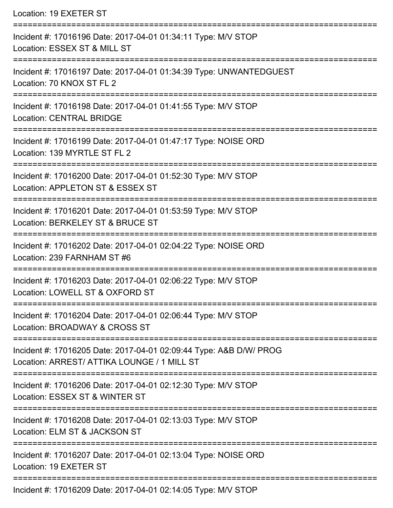| Location: 19 EXETER ST |  |  |  |
|------------------------|--|--|--|
|------------------------|--|--|--|

| Incident #: 17016196 Date: 2017-04-01 01:34:11 Type: M/V STOP<br>Location: ESSEX ST & MILL ST                     |
|-------------------------------------------------------------------------------------------------------------------|
| Incident #: 17016197 Date: 2017-04-01 01:34:39 Type: UNWANTEDGUEST<br>Location: 70 KNOX ST FL 2                   |
| Incident #: 17016198 Date: 2017-04-01 01:41:55 Type: M/V STOP<br><b>Location: CENTRAL BRIDGE</b>                  |
| Incident #: 17016199 Date: 2017-04-01 01:47:17 Type: NOISE ORD<br>Location: 139 MYRTLE ST FL 2                    |
| Incident #: 17016200 Date: 2017-04-01 01:52:30 Type: M/V STOP<br>Location: APPLETON ST & ESSEX ST                 |
| Incident #: 17016201 Date: 2017-04-01 01:53:59 Type: M/V STOP<br>Location: BERKELEY ST & BRUCE ST                 |
| Incident #: 17016202 Date: 2017-04-01 02:04:22 Type: NOISE ORD<br>Location: 239 FARNHAM ST #6                     |
| Incident #: 17016203 Date: 2017-04-01 02:06:22 Type: M/V STOP<br>Location: LOWELL ST & OXFORD ST                  |
| Incident #: 17016204 Date: 2017-04-01 02:06:44 Type: M/V STOP<br>Location: BROADWAY & CROSS ST                    |
| Incident #: 17016205 Date: 2017-04-01 02:09:44 Type: A&B D/W/ PROG<br>Location: ARREST/ ATTIKA LOUNGE / 1 MILL ST |
| Incident #: 17016206 Date: 2017-04-01 02:12:30 Type: M/V STOP<br>Location: ESSEX ST & WINTER ST                   |
| Incident #: 17016208 Date: 2017-04-01 02:13:03 Type: M/V STOP<br>Location: ELM ST & JACKSON ST                    |
| Incident #: 17016207 Date: 2017-04-01 02:13:04 Type: NOISE ORD<br>Location: 19 EXETER ST                          |
| Incident #: 17016209 Date: 2017-04-01 02:14:05 Type: M/V STOP                                                     |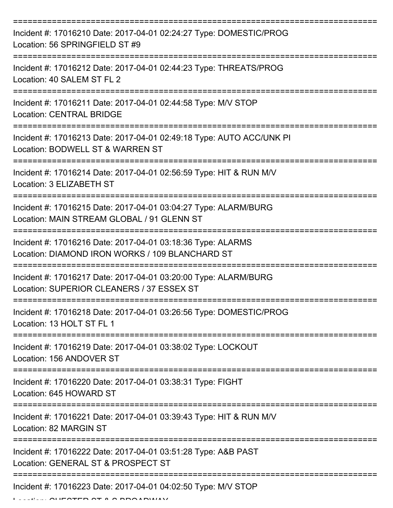| Incident #: 17016210 Date: 2017-04-01 02:24:27 Type: DOMESTIC/PROG<br>Location: 56 SPRINGFIELD ST #9           |
|----------------------------------------------------------------------------------------------------------------|
| Incident #: 17016212 Date: 2017-04-01 02:44:23 Type: THREATS/PROG<br>Location: 40 SALEM ST FL 2                |
| Incident #: 17016211 Date: 2017-04-01 02:44:58 Type: M/V STOP<br><b>Location: CENTRAL BRIDGE</b>               |
| Incident #: 17016213 Date: 2017-04-01 02:49:18 Type: AUTO ACC/UNK PI<br>Location: BODWELL ST & WARREN ST       |
| Incident #: 17016214 Date: 2017-04-01 02:56:59 Type: HIT & RUN M/V<br>Location: 3 ELIZABETH ST                 |
| Incident #: 17016215 Date: 2017-04-01 03:04:27 Type: ALARM/BURG<br>Location: MAIN STREAM GLOBAL / 91 GLENN ST  |
| Incident #: 17016216 Date: 2017-04-01 03:18:36 Type: ALARMS<br>Location: DIAMOND IRON WORKS / 109 BLANCHARD ST |
| Incident #: 17016217 Date: 2017-04-01 03:20:00 Type: ALARM/BURG<br>Location: SUPERIOR CLEANERS / 37 ESSEX ST   |
| Incident #: 17016218 Date: 2017-04-01 03:26:56 Type: DOMESTIC/PROG<br>Location: 13 HOLT ST FL 1                |
| Incident #: 17016219 Date: 2017-04-01 03:38:02 Type: LOCKOUT<br>Location: 156 ANDOVER ST                       |
| Incident #: 17016220 Date: 2017-04-01 03:38:31 Type: FIGHT<br>Location: 645 HOWARD ST                          |
| Incident #: 17016221 Date: 2017-04-01 03:39:43 Type: HIT & RUN M/V<br>Location: 82 MARGIN ST                   |
| Incident #: 17016222 Date: 2017-04-01 03:51:28 Type: A&B PAST<br>Location: GENERAL ST & PROSPECT ST            |
| Incident #: 17016223 Date: 2017-04-01 04:02:50 Type: M/V STOP                                                  |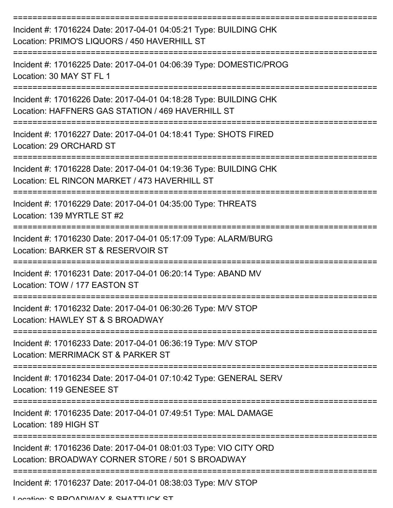| Incident #: 17016224 Date: 2017-04-01 04:05:21 Type: BUILDING CHK<br>Location: PRIMO'S LIQUORS / 450 HAVERHILL ST                                           |
|-------------------------------------------------------------------------------------------------------------------------------------------------------------|
| Incident #: 17016225 Date: 2017-04-01 04:06:39 Type: DOMESTIC/PROG<br>Location: 30 MAY ST FL 1                                                              |
| Incident #: 17016226 Date: 2017-04-01 04:18:28 Type: BUILDING CHK<br>Location: HAFFNERS GAS STATION / 469 HAVERHILL ST                                      |
| Incident #: 17016227 Date: 2017-04-01 04:18:41 Type: SHOTS FIRED<br>Location: 29 ORCHARD ST                                                                 |
| Incident #: 17016228 Date: 2017-04-01 04:19:36 Type: BUILDING CHK<br>Location: EL RINCON MARKET / 473 HAVERHILL ST                                          |
| ==================<br>Incident #: 17016229 Date: 2017-04-01 04:35:00 Type: THREATS<br>Location: 139 MYRTLE ST #2                                            |
| Incident #: 17016230 Date: 2017-04-01 05:17:09 Type: ALARM/BURG<br>Location: BARKER ST & RESERVOIR ST                                                       |
| Incident #: 17016231 Date: 2017-04-01 06:20:14 Type: ABAND MV<br>Location: TOW / 177 FASTON ST                                                              |
| Incident #: 17016232 Date: 2017-04-01 06:30:26 Type: M/V STOP<br>Location: HAWLEY ST & S BROADWAY                                                           |
| Incident #: 17016233 Date: 2017-04-01 06:36:19 Type: M/V STOP<br>Location: MERRIMACK ST & PARKER ST                                                         |
| Incident #: 17016234 Date: 2017-04-01 07:10:42 Type: GENERAL SERV<br>Location: 119 GENESEE ST                                                               |
| ======================================<br>=====================<br>Incident #: 17016235 Date: 2017-04-01 07:49:51 Type: MAL DAMAGE<br>Location: 189 HIGH ST |
| Incident #: 17016236 Date: 2017-04-01 08:01:03 Type: VIO CITY ORD<br>Location: BROADWAY CORNER STORE / 501 S BROADWAY                                       |
| Incident #: 17016237 Date: 2017-04-01 08:38:03 Type: M/V STOP<br>Location: C DDOADWAV & CHATTLICK CT                                                        |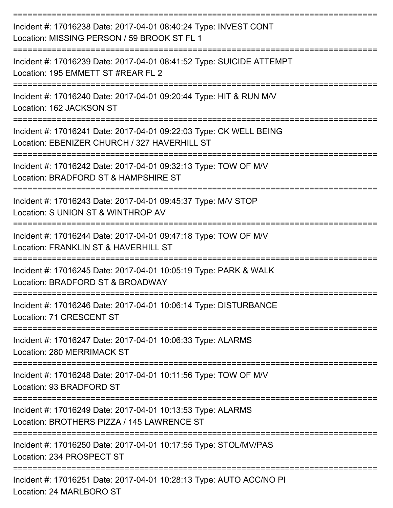| Incident #: 17016238 Date: 2017-04-01 08:40:24 Type: INVEST CONT<br>Location: MISSING PERSON / 59 BROOK ST FL 1    |
|--------------------------------------------------------------------------------------------------------------------|
| Incident #: 17016239 Date: 2017-04-01 08:41:52 Type: SUICIDE ATTEMPT<br>Location: 195 EMMETT ST #REAR FL 2         |
| Incident #: 17016240 Date: 2017-04-01 09:20:44 Type: HIT & RUN M/V<br>Location: 162 JACKSON ST                     |
| Incident #: 17016241 Date: 2017-04-01 09:22:03 Type: CK WELL BEING<br>Location: EBENIZER CHURCH / 327 HAVERHILL ST |
| Incident #: 17016242 Date: 2017-04-01 09:32:13 Type: TOW OF M/V<br>Location: BRADFORD ST & HAMPSHIRE ST            |
| Incident #: 17016243 Date: 2017-04-01 09:45:37 Type: M/V STOP<br>Location: S UNION ST & WINTHROP AV                |
| Incident #: 17016244 Date: 2017-04-01 09:47:18 Type: TOW OF M/V<br>Location: FRANKLIN ST & HAVERHILL ST            |
| Incident #: 17016245 Date: 2017-04-01 10:05:19 Type: PARK & WALK<br>Location: BRADFORD ST & BROADWAY               |
| Incident #: 17016246 Date: 2017-04-01 10:06:14 Type: DISTURBANCE<br>Location: 71 CRESCENT ST<br>--------------     |
| Incident #: 17016247 Date: 2017-04-01 10:06:33 Type: ALARMS<br>Location: 280 MERRIMACK ST                          |
| Incident #: 17016248 Date: 2017-04-01 10:11:56 Type: TOW OF M/V<br>Location: 93 BRADFORD ST                        |
| Incident #: 17016249 Date: 2017-04-01 10:13:53 Type: ALARMS<br>Location: BROTHERS PIZZA / 145 LAWRENCE ST          |
| Incident #: 17016250 Date: 2017-04-01 10:17:55 Type: STOL/MV/PAS<br>Location: 234 PROSPECT ST                      |
| Incident #: 17016251 Date: 2017-04-01 10:28:13 Type: AUTO ACC/NO PI                                                |

Location: 24 MARLBORO ST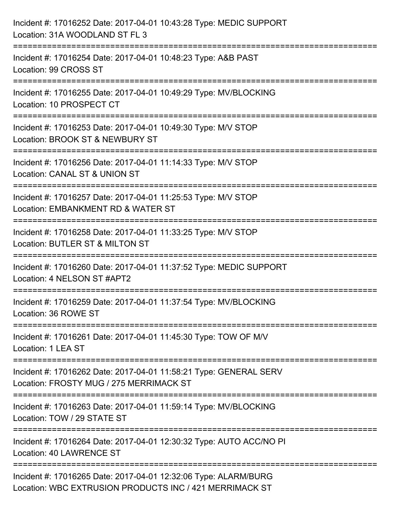| Incident #: 17016252 Date: 2017-04-01 10:43:28 Type: MEDIC SUPPORT<br>Location: 31A WOODLAND ST FL 3                            |
|---------------------------------------------------------------------------------------------------------------------------------|
| Incident #: 17016254 Date: 2017-04-01 10:48:23 Type: A&B PAST<br>Location: 99 CROSS ST                                          |
| Incident #: 17016255 Date: 2017-04-01 10:49:29 Type: MV/BLOCKING<br>Location: 10 PROSPECT CT<br>=============================== |
| Incident #: 17016253 Date: 2017-04-01 10:49:30 Type: M/V STOP<br>Location: BROOK ST & NEWBURY ST                                |
| Incident #: 17016256 Date: 2017-04-01 11:14:33 Type: M/V STOP<br>Location: CANAL ST & UNION ST                                  |
| Incident #: 17016257 Date: 2017-04-01 11:25:53 Type: M/V STOP<br>Location: EMBANKMENT RD & WATER ST                             |
| :==========================<br>Incident #: 17016258 Date: 2017-04-01 11:33:25 Type: M/V STOP<br>Location: BUTLER ST & MILTON ST |
| Incident #: 17016260 Date: 2017-04-01 11:37:52 Type: MEDIC SUPPORT<br>Location: 4 NELSON ST #APT2                               |
| Incident #: 17016259 Date: 2017-04-01 11:37:54 Type: MV/BLOCKING<br>Location: 36 ROWE ST                                        |
| Incident #: 17016261 Date: 2017-04-01 11:45:30 Type: TOW OF M/V<br>Location: 1 LEA ST                                           |
| Incident #: 17016262 Date: 2017-04-01 11:58:21 Type: GENERAL SERV<br>Location: FROSTY MUG / 275 MERRIMACK ST                    |
| Incident #: 17016263 Date: 2017-04-01 11:59:14 Type: MV/BLOCKING<br>Location: TOW / 29 STATE ST                                 |
| Incident #: 17016264 Date: 2017-04-01 12:30:32 Type: AUTO ACC/NO PI<br>Location: 40 LAWRENCE ST                                 |
| Incident #: 17016265 Date: 2017-04-01 12:32:06 Type: ALARM/BURG<br>Location: WBC EXTRUSION PRODUCTS INC / 421 MERRIMACK ST      |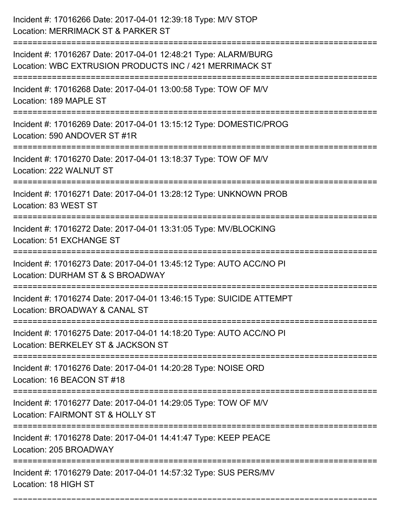| Incident #: 17016266 Date: 2017-04-01 12:39:18 Type: M/V STOP<br>Location: MERRIMACK ST & PARKER ST                        |
|----------------------------------------------------------------------------------------------------------------------------|
| Incident #: 17016267 Date: 2017-04-01 12:48:21 Type: ALARM/BURG<br>Location: WBC EXTRUSION PRODUCTS INC / 421 MERRIMACK ST |
| Incident #: 17016268 Date: 2017-04-01 13:00:58 Type: TOW OF M/V<br>Location: 189 MAPLE ST                                  |
| Incident #: 17016269 Date: 2017-04-01 13:15:12 Type: DOMESTIC/PROG<br>Location: 590 ANDOVER ST #1R                         |
| Incident #: 17016270 Date: 2017-04-01 13:18:37 Type: TOW OF M/V<br>Location: 222 WALNUT ST                                 |
| Incident #: 17016271 Date: 2017-04-01 13:28:12 Type: UNKNOWN PROB<br>Location: 83 WEST ST                                  |
| Incident #: 17016272 Date: 2017-04-01 13:31:05 Type: MV/BLOCKING<br>Location: 51 EXCHANGE ST                               |
| Incident #: 17016273 Date: 2017-04-01 13:45:12 Type: AUTO ACC/NO PI<br>Location: DURHAM ST & S BROADWAY                    |
| Incident #: 17016274 Date: 2017-04-01 13:46:15 Type: SUICIDE ATTEMPT<br>Location: BROADWAY & CANAL ST                      |
| Incident #: 17016275 Date: 2017-04-01 14:18:20 Type: AUTO ACC/NO PI<br>Location: BERKELEY ST & JACKSON ST                  |
| ====================<br>Incident #: 17016276 Date: 2017-04-01 14:20:28 Type: NOISE ORD<br>Location: 16 BEACON ST #18       |
| Incident #: 17016277 Date: 2017-04-01 14:29:05 Type: TOW OF M/V<br>Location: FAIRMONT ST & HOLLY ST                        |
| Incident #: 17016278 Date: 2017-04-01 14:41:47 Type: KEEP PEACE<br>Location: 205 BROADWAY                                  |
| Incident #: 17016279 Date: 2017-04-01 14:57:32 Type: SUS PERS/MV<br>Location: 18 HIGH ST                                   |

===========================================================================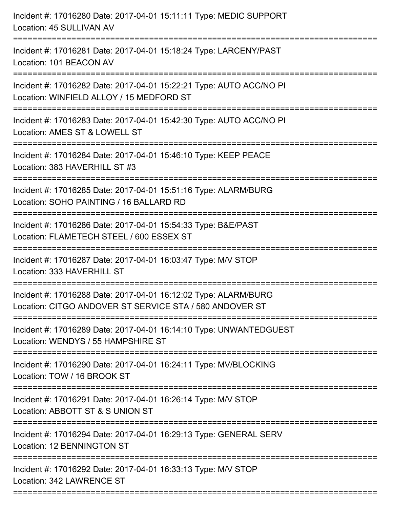| Incident #: 17016280 Date: 2017-04-01 15:11:11 Type: MEDIC SUPPORT<br>Location: 45 SULLIVAN AV                                                       |
|------------------------------------------------------------------------------------------------------------------------------------------------------|
| Incident #: 17016281 Date: 2017-04-01 15:18:24 Type: LARCENY/PAST<br>Location: 101 BEACON AV                                                         |
| Incident #: 17016282 Date: 2017-04-01 15:22:21 Type: AUTO ACC/NO PI<br>Location: WINFIELD ALLOY / 15 MEDFORD ST<br>:================================ |
| Incident #: 17016283 Date: 2017-04-01 15:42:30 Type: AUTO ACC/NO PI<br>Location: AMES ST & LOWELL ST                                                 |
| Incident #: 17016284 Date: 2017-04-01 15:46:10 Type: KEEP PEACE<br>Location: 383 HAVERHILL ST #3                                                     |
| Incident #: 17016285 Date: 2017-04-01 15:51:16 Type: ALARM/BURG<br>Location: SOHO PAINTING / 16 BALLARD RD                                           |
| Incident #: 17016286 Date: 2017-04-01 15:54:33 Type: B&E/PAST<br>Location: FLAMETECH STEEL / 600 ESSEX ST<br>:=================                      |
| Incident #: 17016287 Date: 2017-04-01 16:03:47 Type: M/V STOP<br>Location: 333 HAVERHILL ST                                                          |
| Incident #: 17016288 Date: 2017-04-01 16:12:02 Type: ALARM/BURG<br>Location: CITGO ANDOVER ST SERVICE STA / 580 ANDOVER ST                           |
| Incident #: 17016289 Date: 2017-04-01 16:14:10 Type: UNWANTEDGUEST<br>Location: WENDYS / 55 HAMPSHIRE ST                                             |
| Incident #: 17016290 Date: 2017-04-01 16:24:11 Type: MV/BLOCKING<br>Location: TOW / 16 BROOK ST                                                      |
| Incident #: 17016291 Date: 2017-04-01 16:26:14 Type: M/V STOP<br>Location: ABBOTT ST & S UNION ST                                                    |
| Incident #: 17016294 Date: 2017-04-01 16:29:13 Type: GENERAL SERV<br>Location: 12 BENNINGTON ST                                                      |
| Incident #: 17016292 Date: 2017-04-01 16:33:13 Type: M/V STOP<br>Location: 342 LAWRENCE ST                                                           |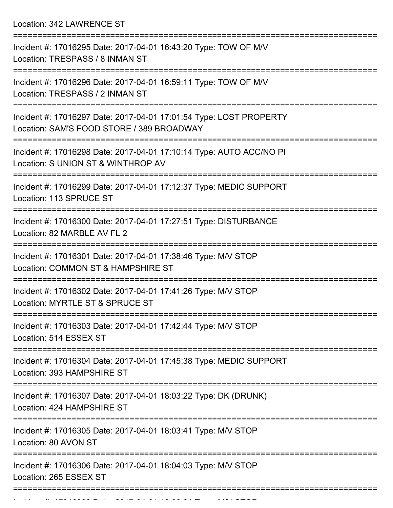Location: 342 LAWRENCE ST

| Incident #: 17016295 Date: 2017-04-01 16:43:20 Type: TOW OF M/V<br>Location: TRESPASS / 8 INMAN ST              |
|-----------------------------------------------------------------------------------------------------------------|
| Incident #: 17016296 Date: 2017-04-01 16:59:11 Type: TOW OF M/V<br>Location: TRESPASS / 2 INMAN ST              |
| Incident #: 17016297 Date: 2017-04-01 17:01:54 Type: LOST PROPERTY<br>Location: SAM'S FOOD STORE / 389 BROADWAY |
| Incident #: 17016298 Date: 2017-04-01 17:10:14 Type: AUTO ACC/NO PI<br>Location: S UNION ST & WINTHROP AV       |
| Incident #: 17016299 Date: 2017-04-01 17:12:37 Type: MEDIC SUPPORT<br>Location: 113 SPRUCE ST                   |
| Incident #: 17016300 Date: 2017-04-01 17:27:51 Type: DISTURBANCE<br>Location: 82 MARBLE AV FL 2                 |
| Incident #: 17016301 Date: 2017-04-01 17:38:46 Type: M/V STOP<br>Location: COMMON ST & HAMPSHIRE ST             |
| Incident #: 17016302 Date: 2017-04-01 17:41:26 Type: M/V STOP<br>Location: MYRTLE ST & SPRUCE ST                |
| Incident #: 17016303 Date: 2017-04-01 17:42:44 Type: M/V STOP<br>Location: 514 ESSEX ST                         |
| Incident #: 17016304 Date: 2017-04-01 17:45:38 Type: MEDIC SUPPORT<br>Location: 393 HAMPSHIRE ST                |
| Incident #: 17016307 Date: 2017-04-01 18:03:22 Type: DK (DRUNK)<br>Location: 424 HAMPSHIRE ST                   |
| Incident #: 17016305 Date: 2017-04-01 18:03:41 Type: M/V STOP<br>Location: 80 AVON ST                           |
| Incident #: 17016306 Date: 2017-04-01 18:04:03 Type: M/V STOP<br>Location: 265 ESSEX ST                         |
|                                                                                                                 |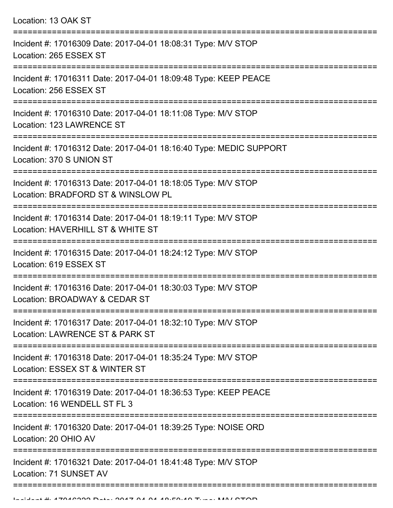| Location: 13 OAK ST                                                                                                          |
|------------------------------------------------------------------------------------------------------------------------------|
| Incident #: 17016309 Date: 2017-04-01 18:08:31 Type: M/V STOP<br>Location: 265 ESSEX ST                                      |
| Incident #: 17016311 Date: 2017-04-01 18:09:48 Type: KEEP PEACE<br>Location: 256 ESSEX ST                                    |
| Incident #: 17016310 Date: 2017-04-01 18:11:08 Type: M/V STOP<br>Location: 123 LAWRENCE ST                                   |
| Incident #: 17016312 Date: 2017-04-01 18:16:40 Type: MEDIC SUPPORT<br>Location: 370 S UNION ST                               |
| Incident #: 17016313 Date: 2017-04-01 18:18:05 Type: M/V STOP<br>Location: BRADFORD ST & WINSLOW PL<br>.==================== |
| Incident #: 17016314 Date: 2017-04-01 18:19:11 Type: M/V STOP<br>Location: HAVERHILL ST & WHITE ST                           |
| Incident #: 17016315 Date: 2017-04-01 18:24:12 Type: M/V STOP<br>Location: 619 ESSEX ST                                      |
| Incident #: 17016316 Date: 2017-04-01 18:30:03 Type: M/V STOP<br>Location: BROADWAY & CEDAR ST                               |
| Incident #: 17016317 Date: 2017-04-01 18:32:10 Type: M/V STOP<br>Location: LAWRENCE ST & PARK ST                             |
| Incident #: 17016318 Date: 2017-04-01 18:35:24 Type: M/V STOP<br>Location: ESSEX ST & WINTER ST                              |
| Incident #: 17016319 Date: 2017-04-01 18:36:53 Type: KEEP PEACE<br>Location: 16 WENDELL ST FL 3                              |
| Incident #: 17016320 Date: 2017-04-01 18:39:25 Type: NOISE ORD<br>Location: 20 OHIO AV                                       |
| Incident #: 17016321 Date: 2017-04-01 18:41:48 Type: M/V STOP<br>Location: 71 SUNSET AV                                      |
|                                                                                                                              |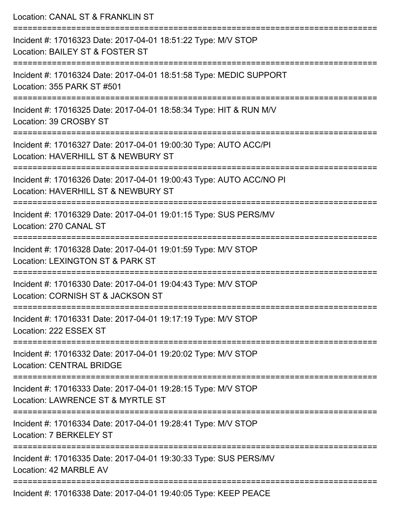| Location: CANAL ST & FRANKLIN ST                                                                                                            |
|---------------------------------------------------------------------------------------------------------------------------------------------|
| Incident #: 17016323 Date: 2017-04-01 18:51:22 Type: M/V STOP<br>Location: BAILEY ST & FOSTER ST<br>:=======================                |
| Incident #: 17016324 Date: 2017-04-01 18:51:58 Type: MEDIC SUPPORT<br>Location: 355 PARK ST #501                                            |
| Incident #: 17016325 Date: 2017-04-01 18:58:34 Type: HIT & RUN M/V<br>Location: 39 CROSBY ST                                                |
| Incident #: 17016327 Date: 2017-04-01 19:00:30 Type: AUTO ACC/PI<br>Location: HAVERHILL ST & NEWBURY ST                                     |
| Incident #: 17016326 Date: 2017-04-01 19:00:43 Type: AUTO ACC/NO PI<br>Location: HAVERHILL ST & NEWBURY ST                                  |
| Incident #: 17016329 Date: 2017-04-01 19:01:15 Type: SUS PERS/MV<br>Location: 270 CANAL ST                                                  |
| Incident #: 17016328 Date: 2017-04-01 19:01:59 Type: M/V STOP<br>Location: LEXINGTON ST & PARK ST                                           |
| :====================================<br>Incident #: 17016330 Date: 2017-04-01 19:04:43 Type: M/V STOP<br>Location: CORNISH ST & JACKSON ST |
| ===============================<br>Incident #: 17016331 Date: 2017-04-01 19:17:19 Type: M/V STOP<br>Location: 222 ESSEX ST                  |
| Incident #: 17016332 Date: 2017-04-01 19:20:02 Type: M/V STOP<br><b>Location: CENTRAL BRIDGE</b>                                            |
| Incident #: 17016333 Date: 2017-04-01 19:28:15 Type: M/V STOP<br>Location: LAWRENCE ST & MYRTLE ST                                          |
| ===================<br>Incident #: 17016334 Date: 2017-04-01 19:28:41 Type: M/V STOP<br>Location: 7 BERKELEY ST                             |
| Incident #: 17016335 Date: 2017-04-01 19:30:33 Type: SUS PERS/MV<br>Location: 42 MARBLE AV                                                  |
| Incident #: 17016338 Date: 2017-04-01 19:40:05 Type: KEEP PEACE                                                                             |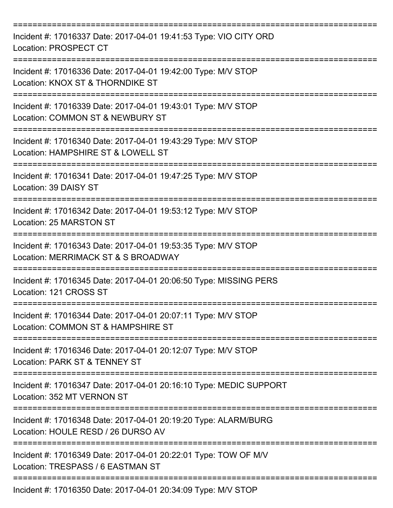| Incident #: 17016337 Date: 2017-04-01 19:41:53 Type: VIO CITY ORD<br>Location: PROSPECT CT            |
|-------------------------------------------------------------------------------------------------------|
| Incident #: 17016336 Date: 2017-04-01 19:42:00 Type: M/V STOP<br>Location: KNOX ST & THORNDIKE ST     |
| Incident #: 17016339 Date: 2017-04-01 19:43:01 Type: M/V STOP<br>Location: COMMON ST & NEWBURY ST     |
| Incident #: 17016340 Date: 2017-04-01 19:43:29 Type: M/V STOP<br>Location: HAMPSHIRE ST & LOWELL ST   |
| Incident #: 17016341 Date: 2017-04-01 19:47:25 Type: M/V STOP<br>Location: 39 DAISY ST                |
| Incident #: 17016342 Date: 2017-04-01 19:53:12 Type: M/V STOP<br>Location: 25 MARSTON ST              |
| Incident #: 17016343 Date: 2017-04-01 19:53:35 Type: M/V STOP<br>Location: MERRIMACK ST & S BROADWAY  |
| Incident #: 17016345 Date: 2017-04-01 20:06:50 Type: MISSING PERS<br>Location: 121 CROSS ST           |
| Incident #: 17016344 Date: 2017-04-01 20:07:11 Type: M/V STOP<br>Location: COMMON ST & HAMPSHIRE ST   |
| Incident #: 17016346 Date: 2017-04-01 20:12:07 Type: M/V STOP<br>Location: PARK ST & TENNEY ST        |
| Incident #: 17016347 Date: 2017-04-01 20:16:10 Type: MEDIC SUPPORT<br>Location: 352 MT VERNON ST      |
| Incident #: 17016348 Date: 2017-04-01 20:19:20 Type: ALARM/BURG<br>Location: HOULE RESD / 26 DURSO AV |
| Incident #: 17016349 Date: 2017-04-01 20:22:01 Type: TOW OF M/V<br>Location: TRESPASS / 6 EASTMAN ST  |
| Incident #: 17016350 Date: 2017-04-01 20:34:09 Type: M/V STOP                                         |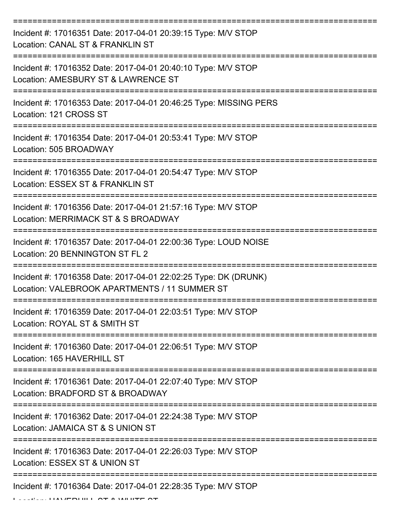| Incident #: 17016351 Date: 2017-04-01 20:39:15 Type: M/V STOP<br>Location: CANAL ST & FRANKLIN ST                |
|------------------------------------------------------------------------------------------------------------------|
| Incident #: 17016352 Date: 2017-04-01 20:40:10 Type: M/V STOP<br>Location: AMESBURY ST & LAWRENCE ST             |
| Incident #: 17016353 Date: 2017-04-01 20:46:25 Type: MISSING PERS<br>Location: 121 CROSS ST                      |
| Incident #: 17016354 Date: 2017-04-01 20:53:41 Type: M/V STOP<br>Location: 505 BROADWAY                          |
| Incident #: 17016355 Date: 2017-04-01 20:54:47 Type: M/V STOP<br>Location: ESSEX ST & FRANKLIN ST                |
| Incident #: 17016356 Date: 2017-04-01 21:57:16 Type: M/V STOP<br>Location: MERRIMACK ST & S BROADWAY             |
| Incident #: 17016357 Date: 2017-04-01 22:00:36 Type: LOUD NOISE<br>Location: 20 BENNINGTON ST FL 2               |
| Incident #: 17016358 Date: 2017-04-01 22:02:25 Type: DK (DRUNK)<br>Location: VALEBROOK APARTMENTS / 11 SUMMER ST |
| Incident #: 17016359 Date: 2017-04-01 22:03:51 Type: M/V STOP<br>Location: ROYAL ST & SMITH ST                   |
| Incident #: 17016360 Date: 2017-04-01 22:06:51 Type: M/V STOP<br>Location: 165 HAVERHILL ST                      |
| Incident #: 17016361 Date: 2017-04-01 22:07:40 Type: M/V STOP<br>Location: BRADFORD ST & BROADWAY                |
| Incident #: 17016362 Date: 2017-04-01 22:24:38 Type: M/V STOP<br>Location: JAMAICA ST & S UNION ST               |
| Incident #: 17016363 Date: 2017-04-01 22:26:03 Type: M/V STOP<br>Location: ESSEX ST & UNION ST                   |
| Incident #: 17016364 Date: 2017-04-01 22:28:35 Type: M/V STOP                                                    |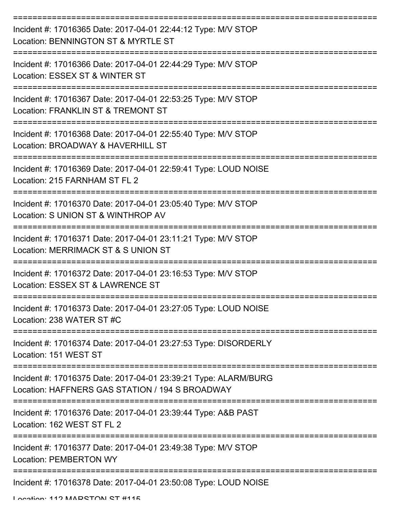| Incident #: 17016365 Date: 2017-04-01 22:44:12 Type: M/V STOP<br>Location: BENNINGTON ST & MYRTLE ST               |
|--------------------------------------------------------------------------------------------------------------------|
| Incident #: 17016366 Date: 2017-04-01 22:44:29 Type: M/V STOP<br>Location: ESSEX ST & WINTER ST                    |
| Incident #: 17016367 Date: 2017-04-01 22:53:25 Type: M/V STOP<br>Location: FRANKLIN ST & TREMONT ST                |
| Incident #: 17016368 Date: 2017-04-01 22:55:40 Type: M/V STOP<br>Location: BROADWAY & HAVERHILL ST                 |
| Incident #: 17016369 Date: 2017-04-01 22:59:41 Type: LOUD NOISE<br>Location: 215 FARNHAM ST FL 2                   |
| Incident #: 17016370 Date: 2017-04-01 23:05:40 Type: M/V STOP<br>Location: S UNION ST & WINTHROP AV                |
| Incident #: 17016371 Date: 2017-04-01 23:11:21 Type: M/V STOP<br>Location: MERRIMACK ST & S UNION ST               |
| Incident #: 17016372 Date: 2017-04-01 23:16:53 Type: M/V STOP<br>Location: ESSEX ST & LAWRENCE ST                  |
| Incident #: 17016373 Date: 2017-04-01 23:27:05 Type: LOUD NOISE<br>Location: 238 WATER ST #C                       |
| Incident #: 17016374 Date: 2017-04-01 23:27:53 Type: DISORDERLY<br>Location: 151 WEST ST                           |
| Incident #: 17016375 Date: 2017-04-01 23:39:21 Type: ALARM/BURG<br>Location: HAFFNERS GAS STATION / 194 S BROADWAY |
| Incident #: 17016376 Date: 2017-04-01 23:39:44 Type: A&B PAST<br>Location: 162 WEST ST FL 2                        |
| Incident #: 17016377 Date: 2017-04-01 23:49:38 Type: M/V STOP<br><b>Location: PEMBERTON WY</b>                     |
| Incident #: 17016378 Date: 2017-04-01 23:50:08 Type: LOUD NOISE                                                    |

Location: 112 MADRTON RT #115